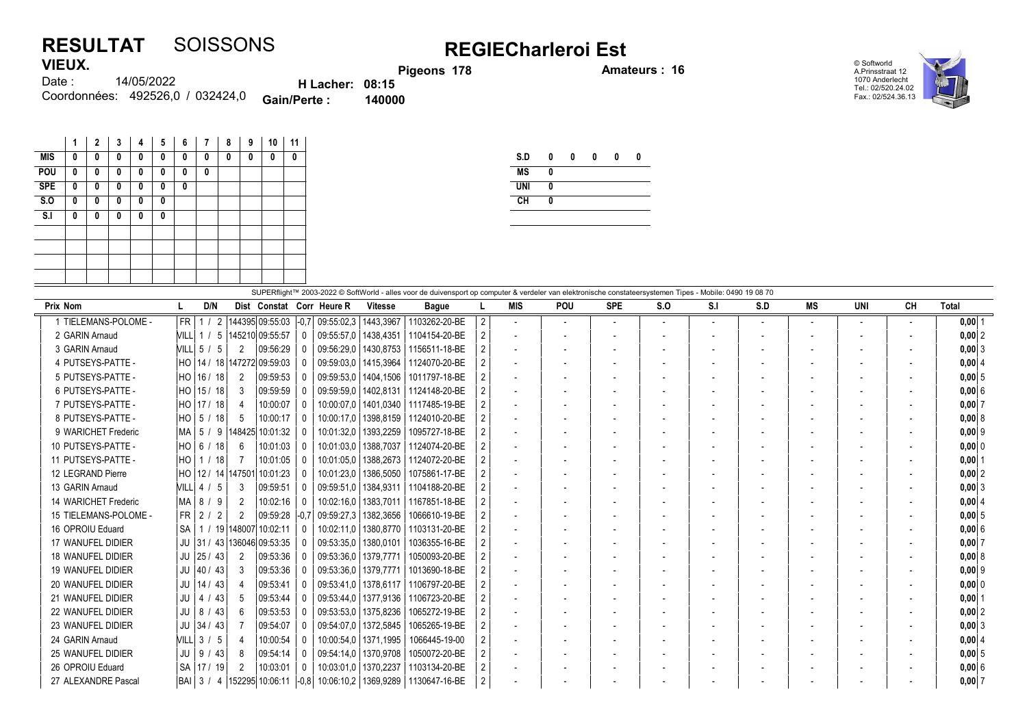## RESULTAT SOISSONS REGIECharleroi Est VIEUX.

Pigeons 178 **Amateurs : 16** 

© Softworld A.Prinsstraat 12 1070 Anderlecht Tel.: 02/520.24.02 Fax.: 02/524.36.13



14/05/2022 Coordonnées: 492526,0 / 032424,0 **Gain/Perte : 140000** Date : H Lacher: 08:15<br>Perte : 140000

|            | 1 | 2 | 3 | 4 | 5 | 6 | 7 | 8 | 9 | 10 | 11 |
|------------|---|---|---|---|---|---|---|---|---|----|----|
| <b>MIS</b> | 0 | 0 | 0 | 0 | 0 | 0 | 0 | 0 | 0 | 0  | 0  |
| POU        | 0 | 0 | 0 | 0 | 0 | 0 | 0 |   |   |    |    |
| <b>SPE</b> | 0 | 0 | 0 | 0 | 0 | 0 |   |   |   |    |    |
| S.O        | 0 | 0 | 0 | 0 | 0 |   |   |   |   |    |    |
| S.I        | 0 | 0 | 0 | 0 | 0 |   |   |   |   |    |    |
|            |   |   |   |   |   |   |   |   |   |    |    |
|            |   |   |   |   |   |   |   |   |   |    |    |
|            |   |   |   |   |   |   |   |   |   |    |    |
|            |   |   |   |   |   |   |   |   |   |    |    |

| S.D        | 0 | 0 | 0 | 0 | 0 |
|------------|---|---|---|---|---|
| <b>MS</b>  | 0 |   |   |   |   |
| <b>UNI</b> | 0 |   |   |   |   |
| CH         | 0 |   |   |   |   |
|            |   |   |   |   |   |

| SUPERflight™ 2003-2022 © SoftWorld - alles voor de duivensport op computer & verdeler van elektronische constateersystemen Tipes - Mobile: 0490 19 08 70 |      |                |                       |                                  |              |                                                     |                        |                                                                                 |                |     |                          |                          |                          |                          |     |    |                          |                          |          |
|----------------------------------------------------------------------------------------------------------------------------------------------------------|------|----------------|-----------------------|----------------------------------|--------------|-----------------------------------------------------|------------------------|---------------------------------------------------------------------------------|----------------|-----|--------------------------|--------------------------|--------------------------|--------------------------|-----|----|--------------------------|--------------------------|----------|
| Prix Nom                                                                                                                                                 |      | D/N            |                       |                                  |              | Dist Constat Corr Heure R                           | <b>Vitesse</b>         | <b>Bague</b>                                                                    |                | MIS | POU                      | <b>SPE</b>               | S.O                      | S.I                      | S.D | MS | UNI                      | CН                       | Total    |
| 1 TIELEMANS-POLOME -                                                                                                                                     | FR I | -1             |                       |                                  |              | 2  144395  09:55:03   -0.7   09:55:02.3   1443.3967 |                        | 1103262-20-BE                                                                   | $\overline{2}$ |     | $\blacksquare$           | $\overline{\phantom{a}}$ | $\overline{\phantom{a}}$ | $\overline{\phantom{a}}$ |     |    | $\overline{\phantom{a}}$ | $\overline{\phantom{a}}$ | 0.00 1   |
| 2 GARIN Arnaud                                                                                                                                           |      |                |                       | NILL 1 / 5 145210 09:55:57       | $\mathbf{0}$ | 09:55:57.0   1438.4351                              |                        | 1104154-20-BE                                                                   | $\overline{2}$ |     |                          |                          |                          |                          |     |    |                          |                          | 0.002    |
| 3 GARIN Arnaud                                                                                                                                           |      | $NILL$ 5 / 5   | 2                     | 09:56:29                         | $\Omega$     |                                                     | 09:56:29.0   1430.8753 | 1156511-18-BE                                                                   |                |     | $\overline{\phantom{a}}$ |                          |                          |                          |     |    |                          |                          | 0.0013   |
| 4 PUTSEYS-PATTE -                                                                                                                                        |      |                |                       | HO   14 / 18   147272   09:59:03 |              |                                                     | 09:59:03.0   1415.3964 | 1124070-20-BE                                                                   |                |     |                          |                          |                          |                          |     |    |                          |                          | 0,004    |
| 5 PUTSEYS-PATTE -                                                                                                                                        |      | HO   16 / 18   | $\overline{2}$        | 09:59:53                         |              | 09:59:53.0   1404.1506                              |                        | 1011797-18-BE                                                                   |                |     |                          |                          |                          |                          |     |    |                          |                          | 0.0015   |
| 6 PUTSEYS-PATTE -                                                                                                                                        |      | $HO$   15 / 18 | 3                     | 09:59:59                         |              |                                                     | 09:59:59.0   1402.8131 | 1124148-20-BE                                                                   |                |     |                          |                          |                          |                          |     |    |                          |                          | 0.006    |
| 7 PUTSEYS-PATTE -                                                                                                                                        |      | HO   17 / 18   | 4                     | 10:00:07                         | $\Omega$     |                                                     |                        | 10:00:07.0   1401.0340   1117485-19-BE                                          | 2              |     |                          |                          |                          |                          |     |    |                          |                          | 0.0017   |
| 8 PUTSEYS-PATTE -                                                                                                                                        |      |                | - 5                   | 10:00:17                         | 0            |                                                     |                        | 10:00:17.0   1398.8159   1124010-20-BE                                          | 2              |     |                          |                          |                          |                          |     |    |                          |                          | 0,008    |
| 9 WARICHET Frederic                                                                                                                                      |      |                |                       | MA   5 / 9  148425 10:01:32      | $\Omega$     |                                                     | 10:01:32.0   1393.2259 | 1095727-18-BE                                                                   |                |     |                          |                          |                          |                          |     |    |                          |                          | 0.009    |
| 10 PUTSEYS-PATTE -                                                                                                                                       |      | HO   6 / 18    | - 6                   | 10:01:03                         | - 0          | 10:01:03.0                                          | 1388.7037              | 1124074-20-BE                                                                   |                |     |                          |                          |                          |                          |     |    |                          |                          | $0,00$ 0 |
| 11 PUTSEYS-PATTE -                                                                                                                                       |      | HO   1 / 18    | - 7                   | 10:01:05                         |              |                                                     | 10:01:05.0   1388.2673 | 1124072-20-BE                                                                   |                |     |                          |                          |                          |                          |     |    |                          |                          | 0.0011   |
| 12 LEGRAND Pierre                                                                                                                                        |      |                | HO   12 / 14   147501 | 10:01:23                         | 0            |                                                     | 10:01:23.0   1386.5050 | 1075861-17-BE                                                                   |                |     |                          |                          |                          |                          |     |    |                          |                          | 0.0012   |
| 13 GARIN Arnaud                                                                                                                                          |      | VILL 4 / 5     | -3                    | 09:59:51                         |              | 09:59:51.0   1384.9311                              |                        | 1104188-20-BE                                                                   | $\overline{2}$ |     |                          |                          |                          |                          |     |    |                          |                          | 0.0013   |
| 14 WARICHET Frederic                                                                                                                                     |      | $MA$ $8/9$     | $\overline{2}$        | 10:02:16                         | $\Omega$     |                                                     | 10:02:16.0   1383.7011 | 1167851-18-BE                                                                   | $\overline{2}$ |     |                          |                          |                          |                          |     |    |                          |                          | 0.004    |
| 15 TIELEMANS-POLOME -                                                                                                                                    |      | FR 2 / 2       | 2                     |                                  |              | 09:59:28   -0.7   09:59:27.3   1382.3656            |                        | 1066610-19-BE                                                                   | $\mathcal{P}$  |     | $\overline{\phantom{a}}$ |                          |                          |                          |     |    |                          |                          | 0.0015   |
| 16 OPROIU Eduard                                                                                                                                         |      |                |                       | SA   1 / 19 148007 10:02:11      | $\Omega$     |                                                     |                        | 10:02:11.0   1380.8770   1103131-20-BE                                          |                |     |                          |                          |                          |                          |     |    |                          |                          | 0.006    |
| 17 WANUFEL DIDIER                                                                                                                                        |      |                |                       | JU 31 / 43 136046 09:53:35       |              | 09:53:35,0   1380,0101                              |                        | 1036355-16-BE                                                                   | $\overline{2}$ |     |                          |                          |                          |                          |     |    |                          |                          | $0,00$ 7 |
| <b>18 WANUFEL DIDIER</b>                                                                                                                                 |      | $JU$   25 / 43 | $\overline{2}$        | 09:53:36                         |              | 09:53:36.0   1379.7771                              |                        | 1050093-20-BE                                                                   |                |     |                          |                          |                          |                          |     |    |                          |                          | 0.0018   |
| 19 WANUFEL DIDIER                                                                                                                                        |      | $JU$  40 / 43  | - 3                   | 09:53:36                         |              | 09:53:36.0   1379.7771                              |                        | 1013690-18-BE                                                                   |                |     |                          |                          |                          |                          |     |    |                          |                          | 0.0019   |
| 20 WANUFEL DIDIER                                                                                                                                        |      | $JU$   14 / 43 |                       | 09:53:41                         |              | 09:53:41,0   1378,6117                              |                        | 1106797-20-BE                                                                   |                |     |                          |                          |                          |                          |     |    |                          |                          | $0,00$ 0 |
| 21 WANUFEL DIDIER                                                                                                                                        |      | $JU$   4 / 43  | -5                    | 09:53:44                         |              |                                                     | 09:53:44.0   1377.9136 | 1106723-20-BE                                                                   |                |     |                          |                          |                          |                          |     |    |                          |                          | 0.0011   |
| 22 WANUFEL DIDIER                                                                                                                                        |      | $JU$   8 / 43  |                       | 09:53:53                         |              |                                                     | 09:53:53.0   1375.8236 | 1065272-19-BE                                                                   |                |     | $\overline{\phantom{a}}$ |                          |                          |                          |     |    | $\overline{\phantom{a}}$ | $\sim$                   | 0.0012   |
| 23 WANUFEL DIDIER                                                                                                                                        |      | $JU$ 34 / 43   |                       | 09:54:07                         |              |                                                     | 09:54:07.0   1372.5845 | 1065265-19-BE                                                                   |                |     |                          |                          |                          |                          |     |    |                          |                          | 0.0013   |
| 24 GARIN Arnaud                                                                                                                                          |      | VILL 3 / 5     | 4                     | 10:00:54                         |              |                                                     | 10:00:54,0   1371,1995 | 1066445-19-00                                                                   | 2              |     | $\overline{\phantom{a}}$ |                          |                          |                          |     |    |                          |                          | 0,004    |
| 25 WANUFEL DIDIER                                                                                                                                        |      | $JU$   9 / 43  | -8                    | 09:54:14                         |              | 09:54:14.0   1370.9708                              |                        | 1050072-20-BE                                                                   | $\overline{2}$ |     |                          |                          |                          |                          |     |    |                          | $\overline{\phantom{a}}$ | 0.005    |
| 26 OPROIU Eduard                                                                                                                                         |      | SA   17 / 19   | -2                    | 10:03:01                         | $\Omega$     |                                                     | 10:03:01.0   1370.2237 | 1103134-20-BE                                                                   | $\mathcal{P}$  |     |                          |                          |                          |                          |     |    |                          |                          | 0.006    |
| 27 ALEXANDRE Pascal                                                                                                                                      |      |                |                       |                                  |              |                                                     |                        | BAI   3 / 4   152295   10:06:11   -0,8   10:06:10,2   1369,9289   1130647-16-BE | $\mathcal{P}$  |     |                          |                          |                          |                          |     |    |                          |                          | 0.0017   |